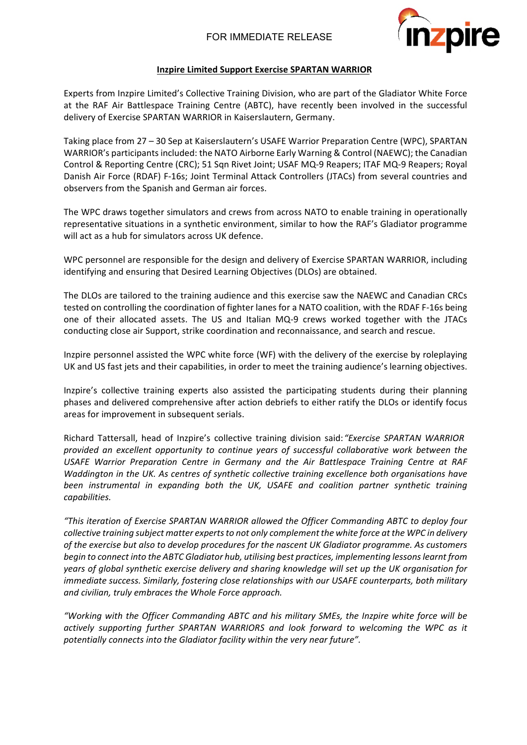

## **Inzpire Limited Support Exercise SPARTAN WARRIOR**

Experts from Inzpire Limited's Collective Training Division, who are part of the Gladiator White Force at the RAF Air Battlespace Training Centre (ABTC), have recently been involved in the successful delivery of Exercise SPARTAN WARRIOR in Kaiserslautern, Germany.

Taking place from 27 – 30 Sep at Kaiserslautern's USAFE Warrior Preparation Centre (WPC), SPARTAN WARRIOR's participants included: the NATO Airborne Early Warning & Control (NAEWC); the Canadian Control & Reporting Centre (CRC); 51 Sqn Rivet Joint; USAF MQ-9 Reapers; ITAF MQ-9 Reapers; Royal Danish Air Force (RDAF) F-16s; Joint Terminal Attack Controllers (JTACs) from several countries and observers from the Spanish and German air forces.

The WPC draws together simulators and crews from across NATO to enable training in operationally representative situations in a synthetic environment, similar to how the RAF's Gladiator programme will act as a hub for simulators across UK defence.

WPC personnel are responsible for the design and delivery of Exercise SPARTAN WARRIOR, including identifying and ensuring that Desired Learning Objectives (DLOs) are obtained.

The DLOs are tailored to the training audience and this exercise saw the NAEWC and Canadian CRCs tested on controlling the coordination of fighter lanes for a NATO coalition, with the RDAF F-16s being one of their allocated assets. The US and Italian MQ-9 crews worked together with the JTACs conducting close air Support, strike coordination and reconnaissance, and search and rescue.

Inzpire personnel assisted the WPC white force (WF) with the delivery of the exercise by roleplaying UK and US fast jets and their capabilities, in order to meet the training audience's learning objectives.

Inzpire's collective training experts also assisted the participating students during their planning phases and delivered comprehensive after action debriefs to either ratify the DLOs or identify focus areas for improvement in subsequent serials.

Richard Tattersall, head of Inzpire's collective training division said:*"Exercise SPARTAN WARRIOR provided an excellent opportunity to continue years of successful collaborative work between the USAFE Warrior Preparation Centre in Germany and the Air Battlespace Training Centre at RAF Waddington in the UK. As centres of synthetic collective training excellence both organisations have been instrumental in expanding both the UK, USAFE and coalition partner synthetic training capabilities.*

*"This iteration of Exercise SPARTAN WARRIOR allowed the Officer Commanding ABTC to deploy four collective training subject matter experts to not only complement the white force at the WPC in delivery of the exercise but also to develop procedures for the nascent UK Gladiator programme. As customers begin to connect into the ABTC Gladiator hub, utilising best practices, implementing lessons learnt from years of global synthetic exercise delivery and sharing knowledge will set up the UK organisation for immediate success. Similarly, fostering close relationships with our USAFE counterparts, both military and civilian, truly embraces the Whole Force approach.*

*"Working with the Officer Commanding ABTC and his military SMEs, the Inzpire white force will be actively supporting further SPARTAN WARRIORS and look forward to welcoming the WPC as it potentially connects into the Gladiator facility within the very near future".*